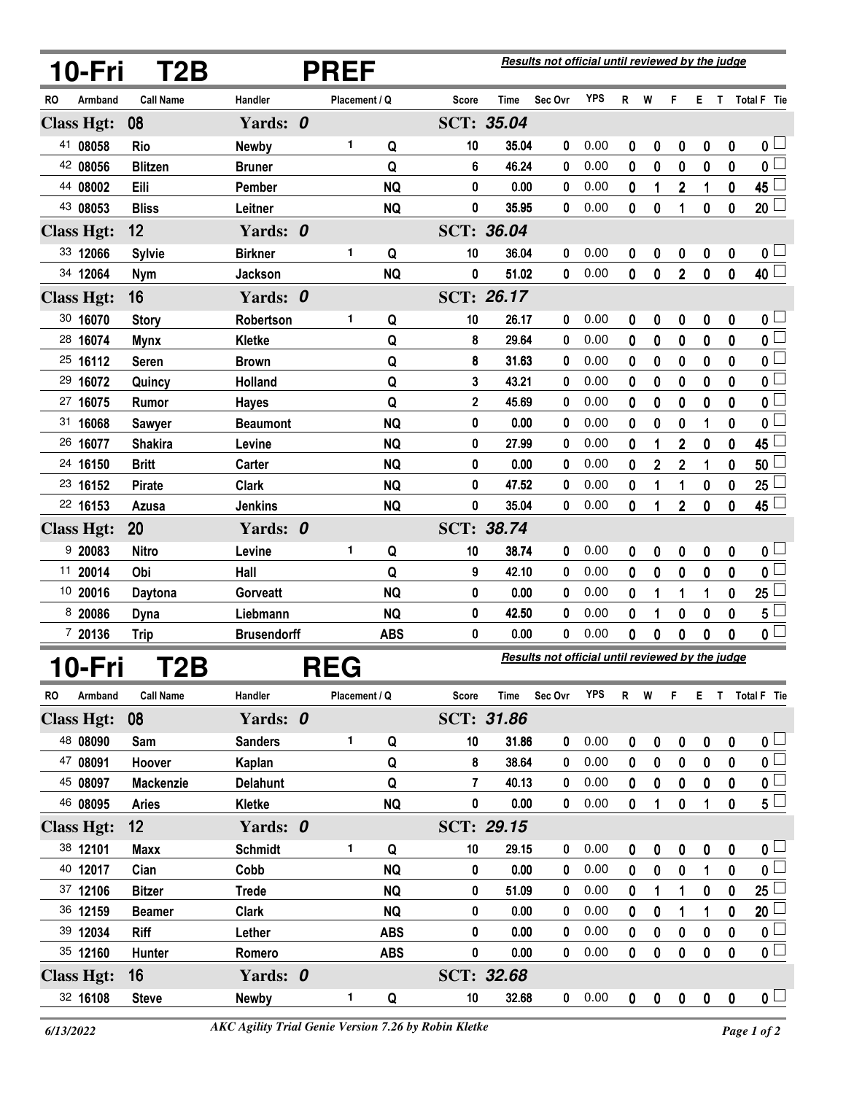|    | 10-Fri            | T2B                 | <b>PREF</b>            |  |               |                | Results not official until reviewed by the judge |                   |                                                  |            |        |           |                |                       |              |                           |
|----|-------------------|---------------------|------------------------|--|---------------|----------------|--------------------------------------------------|-------------------|--------------------------------------------------|------------|--------|-----------|----------------|-----------------------|--------------|---------------------------|
| RO | Armband           | <b>Call Name</b>    | Handler                |  | Placement / Q |                | Score                                            | Time              | Sec Ovr                                          | <b>YPS</b> | R      | W         | F              | E.                    | $\mathbf{T}$ | Total F Tie               |
|    | <b>Class Hgt:</b> | 08                  | Yards: 0               |  |               |                |                                                  | SCT: 35.04        |                                                  |            |        |           |                |                       |              |                           |
|    | 41 08058          | <b>Rio</b>          | Newby                  |  | 1             | Q              | 10                                               | 35.04             | 0                                                | 0.00       | 0      | 0         | 0              | 0                     | 0            | 0 <sub>1</sub>            |
|    | 42 08056          | <b>Blitzen</b>      | <b>Bruner</b>          |  |               | Q              | 6                                                | 46.24             | 0                                                | 0.00       | 0      | 0         | 0              | 0                     | $\bf{0}$     | $\overline{0}$            |
|    | 44 08002          | Eili                | Pember                 |  |               | <b>NQ</b>      | 0                                                | 0.00              | 0                                                | 0.00       | 0      | 1         | 2              | 1                     | 0            | 45                        |
|    | 43 08053          | <b>Bliss</b>        | Leitner                |  |               | <b>NQ</b>      | 0                                                | 35.95             | 0                                                | 0.00       | 0      | 0         | 1              | 0                     | 0            | 20 <sup>1</sup>           |
|    | <b>Class Hgt:</b> | 12                  | Yards: 0               |  |               |                |                                                  | <b>SCT: 36.04</b> |                                                  |            |        |           |                |                       |              |                           |
|    | 33 12066          | <b>Sylvie</b>       | <b>Birkner</b>         |  | 1             | Q              | 10                                               | 36.04             | 0                                                | 0.00       | 0      | 0         | 0              | 0                     | 0            | 0 L                       |
|    | 34 12064          | <b>Nym</b>          | Jackson                |  |               | <b>NQ</b>      | 0                                                | 51.02             | 0                                                | 0.00       | 0      | 0         | $\overline{2}$ | 0                     | 0            | 40 L                      |
|    | <b>Class Hgt:</b> | 16                  | Yards: 0               |  |               |                |                                                  | SCT: 26.17        |                                                  |            |        |           |                |                       |              |                           |
|    | 30 16070          | <b>Story</b>        | Robertson              |  | 1             | Q              | 10                                               | 26.17             | 0                                                | 0.00       | 0      | 0         | 0              | 0                     | 0            | $\mathfrak{o} \sqcup$     |
|    | 28 16074          | <b>Mynx</b>         | Kletke                 |  |               | Q              | 8                                                | 29.64             | 0                                                | 0.00       | 0      | 0         | 0              | 0                     | 0            | $\overline{\mathbf{0}}$   |
|    | 25 16112          | <b>Seren</b>        | <b>Brown</b>           |  |               | Q              | 8                                                | 31.63             | 0                                                | 0.00       | 0      | 0         | 0              | 0                     | 0            | 0 <sup>1</sup>            |
|    | 29 16072          | Quincy              | Holland                |  |               | Q              | 3                                                | 43.21             | 0                                                | 0.00       | 0      | 0         | 0              | 0                     | 0            | 0 L                       |
|    | 27 16075          | Rumor               | <b>Hayes</b>           |  |               | Q              | 2                                                | 45.69             | 0                                                | 0.00       | 0      | 0         | 0              | 0                     | 0            | 0                         |
|    | 31 16068          | <b>Sawyer</b>       | <b>Beaumont</b>        |  |               | <b>NQ</b>      | 0                                                | 0.00              | 0                                                | 0.00       | 0      | 0         | 0              | 1                     | 0            | 0                         |
|    | 26 16077          | <b>Shakira</b>      | Levine                 |  |               | <b>NQ</b>      | 0                                                | 27.99             | 0                                                | 0.00       | 0      | 1         | 2              | 0                     | 0            | 45                        |
|    | 24 16150          | <b>Britt</b>        | Carter                 |  |               | <b>NQ</b>      | 0                                                | 0.00              | 0                                                | 0.00       | 0      | 2         | $\overline{2}$ | 1                     | 0            | 50                        |
|    | 23 16152          | <b>Pirate</b>       | <b>Clark</b>           |  |               | <b>NQ</b>      | 0                                                | 47.52             | 0                                                | 0.00       | 0      | 1         | 1              | 0                     | 0            | 25                        |
|    | 22 16153          | Azusa               | <b>Jenkins</b>         |  |               | <b>NQ</b>      | 0                                                | 35.04             | 0                                                | 0.00       | 0      | 1         | $\overline{2}$ | $\bf{0}$              | $\bf{0}$     | 45 <sup>1</sup>           |
|    | <b>Class Hgt:</b> | 20                  | Yards: 0               |  |               |                |                                                  | SCT: 38.74        |                                                  |            |        |           |                |                       |              |                           |
|    | 920083            | <b>Nitro</b>        | Levine                 |  | 1             | Q              | 10                                               | 38.74             | 0                                                | 0.00       | 0      | 0         | 0              | $\boldsymbol{0}$      | 0            | 0 <sup>1</sup>            |
|    | 11 20014          | Obi                 | Hall                   |  |               | Q              | 9                                                | 42.10             | 0                                                | 0.00       | 0      | 0         | 0              | 0                     | $\bf{0}$     | 0 <sup>1</sup>            |
|    | 10 20016          | Daytona             | Gorveatt               |  |               | <b>NQ</b>      | 0                                                | 0.00              | 0                                                | 0.00       | 0      | 1         | 1              | 1                     | 0            | 25                        |
|    | 8 20086           | <b>Dyna</b>         | Liebmann               |  |               | <b>NQ</b>      | 0                                                | 42.50             | 0                                                | 0.00       | 0      | 1         | 0              | 0                     | 0            | 5 l                       |
|    | 7 20136           | <b>Trip</b>         | <b>Brusendorff</b>     |  |               | <b>ABS</b>     | 0                                                | 0.00              | 0                                                | 0.00       | 0      | 0         | 0              | 0                     | 0            | 0 L                       |
|    | 10-Fri            | T2B                 | <b>REG</b>             |  |               |                |                                                  |                   | Results not official until reviewed by the judge |            |        |           |                |                       |              |                           |
| RO | Armband           | <b>Call Name</b>    | Handler                |  | Placement / Q |                | Score                                            | Time              | Sec Ovr                                          | <b>YPS</b> | R      | W         | F              | Е.                    | $\mathbf{T}$ | Total F Tie               |
|    | <b>Class Hgt:</b> | 08                  | Yards: 0               |  |               |                |                                                  | SCT: 31.86        |                                                  |            |        |           |                |                       |              |                           |
|    | 48 08090          | Sam                 | <b>Sanders</b>         |  | 1             |                | 10                                               | 31.86             | 0                                                | 0.00       |        |           |                |                       |              | $\mathbf{0}$ $\Box$       |
|    | 47 08091          | Hoover              | Kaplan                 |  |               | Q<br>Q         | 8                                                | 38.64             | 0                                                | 0.00       | 0<br>0 | 0<br>0    | 0<br>0         | 0<br>0                | 0<br>0       | $\overline{\mathbf{0}}$   |
|    | 45 08097          | Mackenzie           | <b>Delahunt</b>        |  |               | Q              | 7                                                | 40.13             | 0                                                | 0.00       | 0      | 0         | 0              | 0                     | 0            | $\overline{\mathbf{0}}$   |
|    | 46 08095          | <b>Aries</b>        | Kletke                 |  |               | <b>NQ</b>      | 0                                                | 0.00              | 0                                                | 0.00       | 0      | 1         | 0              | 1                     | 0            | $\mathbf{5}^{\square}$    |
|    | <b>Class Hgt:</b> | 12                  | Yards: 0               |  |               |                |                                                  | SCT: 29.15        |                                                  |            |        |           |                |                       |              |                           |
|    | 38 12101          |                     |                        |  | 1             |                | 10                                               | 29.15             |                                                  | 0.00       |        |           |                |                       |              | 0 <sub>1</sub>            |
|    | 40 12017          | <b>Maxx</b><br>Cian | <b>Schmidt</b><br>Cobb |  |               | Q<br><b>NQ</b> | 0                                                | 0.00              | 0<br>0                                           | 0.00       | 0<br>0 | 0<br>0    | 0<br>0         | $\boldsymbol{0}$<br>1 | 0<br>0       | $\overline{\mathfrak{o}}$ |
|    | 37 12106          | <b>Bitzer</b>       | <b>Trede</b>           |  |               | <b>NQ</b>      | 0                                                | 51.09             | 0                                                | 0.00       | 0      | 1         | 1              | 0                     | 0            | 25 <sup>1</sup>           |
|    | 36 12159          | <b>Beamer</b>       | <b>Clark</b>           |  |               | <b>NQ</b>      | 0                                                | 0.00              | 0                                                | 0.00       | 0      | 0         | 1              | 1                     | 0            | 20 <sup>1</sup>           |
|    | 39 12034          | Riff                | Lether                 |  |               | <b>ABS</b>     | 0                                                | 0.00              | 0                                                | 0.00       | 0      | 0         | 0              | 0                     | 0            | 0 <sup>1</sup>            |
|    | 35 12160          | Hunter              | Romero                 |  |               | <b>ABS</b>     | 0                                                | 0.00              | 0                                                | 0.00       | 0      | 0         | 0              | $\mathbf 0$           | 0            | $\overline{\mathbf{0}}$   |
|    | <b>Class Hgt:</b> | 16                  | Yards: 0               |  |               |                |                                                  | SCT: 32.68        |                                                  |            |        |           |                |                       |              |                           |
|    | 32 16108          | <b>Steve</b>        | <b>Newby</b>           |  | 1             | Q              | 10                                               | 32.68             | $\mathbf 0$                                      | 0.00       | 0      | $\pmb{0}$ | $\mathbf 0$    | $\pmb{0}$             | $\pmb{0}$    | $\mathbf{0}$ $\Box$       |
|    |                   |                     |                        |  |               |                |                                                  |                   |                                                  |            |        |           |                |                       |              |                           |